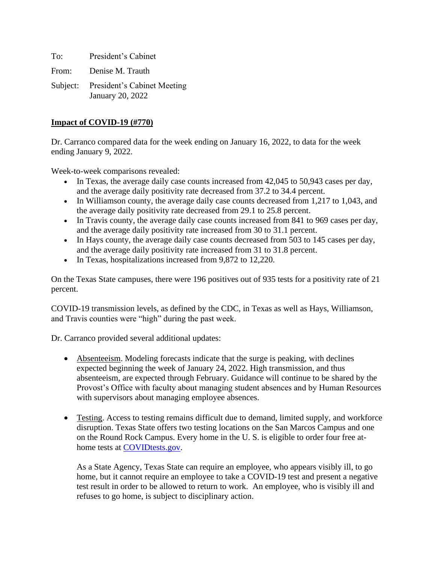To: President's Cabinet From: Denise M. Trauth Subject: President's Cabinet Meeting

January 20, 2022

#### **Impact of COVID-19 (#770)**

Dr. Carranco compared data for the week ending on January 16, 2022, to data for the week ending January 9, 2022.

Week-to-week comparisons revealed:

- In Texas, the average daily case counts increased from 42,045 to 50,943 cases per day, and the average daily positivity rate decreased from 37.2 to 34.4 percent.
- In Williamson county, the average daily case counts decreased from 1,217 to 1,043, and the average daily positivity rate decreased from 29.1 to 25.8 percent.
- In Travis county, the average daily case counts increased from 841 to 969 cases per day, and the average daily positivity rate increased from 30 to 31.1 percent.
- In Hays county, the average daily case counts decreased from 503 to 145 cases per day, and the average daily positivity rate increased from 31 to 31.8 percent.
- In Texas, hospitalizations increased from 9,872 to 12,220.

On the Texas State campuses, there were 196 positives out of 935 tests for a positivity rate of 21 percent.

COVID-19 transmission levels, as defined by the CDC, in Texas as well as Hays, Williamson, and Travis counties were "high" during the past week.

Dr. Carranco provided several additional updates:

- Absenteeism. Modeling forecasts indicate that the surge is peaking, with declines expected beginning the week of January 24, 2022. High transmission, and thus absenteeism, are expected through February. Guidance will continue to be shared by the Provost's Office with faculty about managing student absences and by Human Resources with supervisors about managing employee absences.
- Testing. Access to testing remains difficult due to demand, limited supply, and workforce disruption. Texas State offers two testing locations on the San Marcos Campus and one on the Round Rock Campus. Every home in the U. S. is eligible to order four free at-home tests at [COVIDtests.gov.](https://www.covidtests.gov/)

As a State Agency, Texas State can require an employee, who appears visibly ill, to go home, but it cannot require an employee to take a COVID-19 test and present a negative test result in order to be allowed to return to work. An employee, who is visibly ill and refuses to go home, is subject to disciplinary action.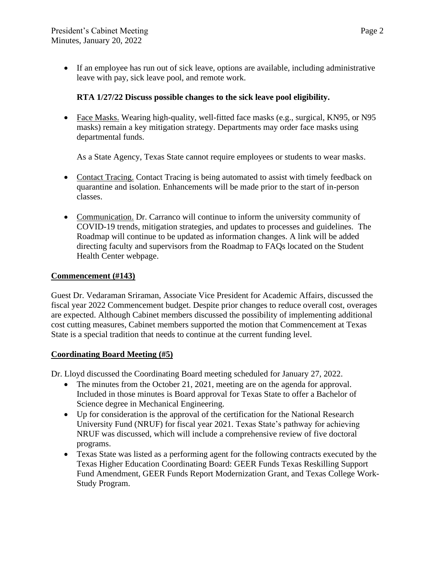• If an employee has run out of sick leave, options are available, including administrative leave with pay, sick leave pool, and remote work.

# **RTA 1/27/22 Discuss possible changes to the sick leave pool eligibility.**

• Face Masks. Wearing high-quality, well-fitted face masks (e.g., surgical, KN95, or N95) masks) remain a key mitigation strategy. Departments may order face masks using departmental funds.

As a State Agency, Texas State cannot require employees or students to wear masks.

- Contact Tracing. Contact Tracing is being automated to assist with timely feedback on quarantine and isolation. Enhancements will be made prior to the start of in-person classes.
- Communication. Dr. Carranco will continue to inform the university community of COVID-19 trends, mitigation strategies, and updates to processes and guidelines. The Roadmap will continue to be updated as information changes. A link will be added directing faculty and supervisors from the Roadmap to FAQs located on the Student Health Center webpage.

## **Commencement (#143)**

Guest Dr. Vedaraman Sriraman, Associate Vice President for Academic Affairs, discussed the fiscal year 2022 Commencement budget. Despite prior changes to reduce overall cost, overages are expected. Although Cabinet members discussed the possibility of implementing additional cost cutting measures, Cabinet members supported the motion that Commencement at Texas State is a special tradition that needs to continue at the current funding level.

## **Coordinating Board Meeting (#5)**

Dr. Lloyd discussed the Coordinating Board meeting scheduled for January 27, 2022.

- The minutes from the October 21, 2021, meeting are on the agenda for approval. Included in those minutes is Board approval for Texas State to offer a Bachelor of Science degree in Mechanical Engineering.
- Up for consideration is the approval of the certification for the National Research University Fund (NRUF) for fiscal year 2021. Texas State's pathway for achieving NRUF was discussed, which will include a comprehensive review of five doctoral programs.
- Texas State was listed as a performing agent for the following contracts executed by the Texas Higher Education Coordinating Board: GEER Funds Texas Reskilling Support Fund Amendment, GEER Funds Report Modernization Grant, and Texas College Work-Study Program.